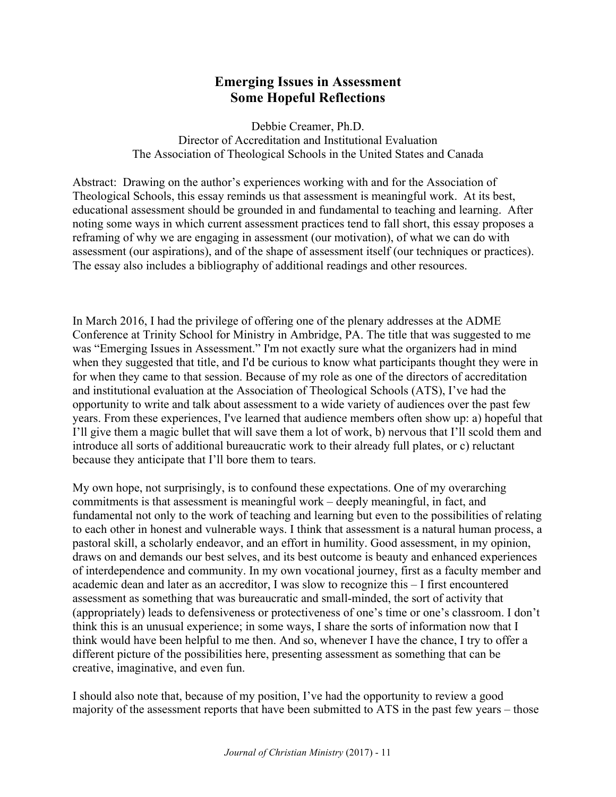# **Emerging Issues in Assessment Some Hopeful Reflections**

Debbie Creamer, Ph.D. Director of Accreditation and Institutional Evaluation The Association of Theological Schools in the United States and Canada

Abstract: Drawing on the author's experiences working with and for the Association of Theological Schools, this essay reminds us that assessment is meaningful work. At its best, educational assessment should be grounded in and fundamental to teaching and learning. After noting some ways in which current assessment practices tend to fall short, this essay proposes a reframing of why we are engaging in assessment (our motivation), of what we can do with assessment (our aspirations), and of the shape of assessment itself (our techniques or practices). The essay also includes a bibliography of additional readings and other resources.

In March 2016, I had the privilege of offering one of the plenary addresses at the ADME Conference at Trinity School for Ministry in Ambridge, PA. The title that was suggested to me was "Emerging Issues in Assessment." I'm not exactly sure what the organizers had in mind when they suggested that title, and I'd be curious to know what participants thought they were in for when they came to that session. Because of my role as one of the directors of accreditation and institutional evaluation at the Association of Theological Schools (ATS), I've had the opportunity to write and talk about assessment to a wide variety of audiences over the past few years. From these experiences, I've learned that audience members often show up: a) hopeful that I'll give them a magic bullet that will save them a lot of work, b) nervous that I'll scold them and introduce all sorts of additional bureaucratic work to their already full plates, or c) reluctant because they anticipate that I'll bore them to tears.

My own hope, not surprisingly, is to confound these expectations. One of my overarching commitments is that assessment is meaningful work – deeply meaningful, in fact, and fundamental not only to the work of teaching and learning but even to the possibilities of relating to each other in honest and vulnerable ways. I think that assessment is a natural human process, a pastoral skill, a scholarly endeavor, and an effort in humility. Good assessment, in my opinion, draws on and demands our best selves, and its best outcome is beauty and enhanced experiences of interdependence and community. In my own vocational journey, first as a faculty member and academic dean and later as an accreditor, I was slow to recognize this – I first encountered assessment as something that was bureaucratic and small-minded, the sort of activity that (appropriately) leads to defensiveness or protectiveness of one's time or one's classroom. I don't think this is an unusual experience; in some ways, I share the sorts of information now that I think would have been helpful to me then. And so, whenever I have the chance, I try to offer a different picture of the possibilities here, presenting assessment as something that can be creative, imaginative, and even fun.

I should also note that, because of my position, I've had the opportunity to review a good majority of the assessment reports that have been submitted to ATS in the past few years – those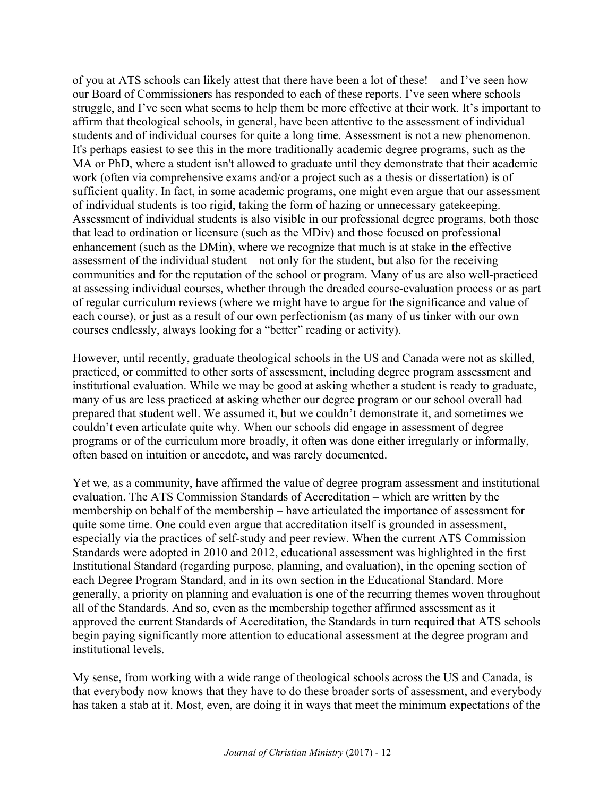of you at ATS schools can likely attest that there have been a lot of these! – and I've seen how our Board of Commissioners has responded to each of these reports. I've seen where schools struggle, and I've seen what seems to help them be more effective at their work. It's important to affirm that theological schools, in general, have been attentive to the assessment of individual students and of individual courses for quite a long time. Assessment is not a new phenomenon. It's perhaps easiest to see this in the more traditionally academic degree programs, such as the MA or PhD, where a student isn't allowed to graduate until they demonstrate that their academic work (often via comprehensive exams and/or a project such as a thesis or dissertation) is of sufficient quality. In fact, in some academic programs, one might even argue that our assessment of individual students is too rigid, taking the form of hazing or unnecessary gatekeeping. Assessment of individual students is also visible in our professional degree programs, both those that lead to ordination or licensure (such as the MDiv) and those focused on professional enhancement (such as the DMin), where we recognize that much is at stake in the effective assessment of the individual student – not only for the student, but also for the receiving communities and for the reputation of the school or program. Many of us are also well-practiced at assessing individual courses, whether through the dreaded course-evaluation process or as part of regular curriculum reviews (where we might have to argue for the significance and value of each course), or just as a result of our own perfectionism (as many of us tinker with our own courses endlessly, always looking for a "better" reading or activity).

However, until recently, graduate theological schools in the US and Canada were not as skilled, practiced, or committed to other sorts of assessment, including degree program assessment and institutional evaluation. While we may be good at asking whether a student is ready to graduate, many of us are less practiced at asking whether our degree program or our school overall had prepared that student well. We assumed it, but we couldn't demonstrate it, and sometimes we couldn't even articulate quite why. When our schools did engage in assessment of degree programs or of the curriculum more broadly, it often was done either irregularly or informally, often based on intuition or anecdote, and was rarely documented.

Yet we, as a community, have affirmed the value of degree program assessment and institutional evaluation. The ATS Commission Standards of Accreditation – which are written by the membership on behalf of the membership – have articulated the importance of assessment for quite some time. One could even argue that accreditation itself is grounded in assessment, especially via the practices of self-study and peer review. When the current ATS Commission Standards were adopted in 2010 and 2012, educational assessment was highlighted in the first Institutional Standard (regarding purpose, planning, and evaluation), in the opening section of each Degree Program Standard, and in its own section in the Educational Standard. More generally, a priority on planning and evaluation is one of the recurring themes woven throughout all of the Standards. And so, even as the membership together affirmed assessment as it approved the current Standards of Accreditation, the Standards in turn required that ATS schools begin paying significantly more attention to educational assessment at the degree program and institutional levels.

My sense, from working with a wide range of theological schools across the US and Canada, is that everybody now knows that they have to do these broader sorts of assessment, and everybody has taken a stab at it. Most, even, are doing it in ways that meet the minimum expectations of the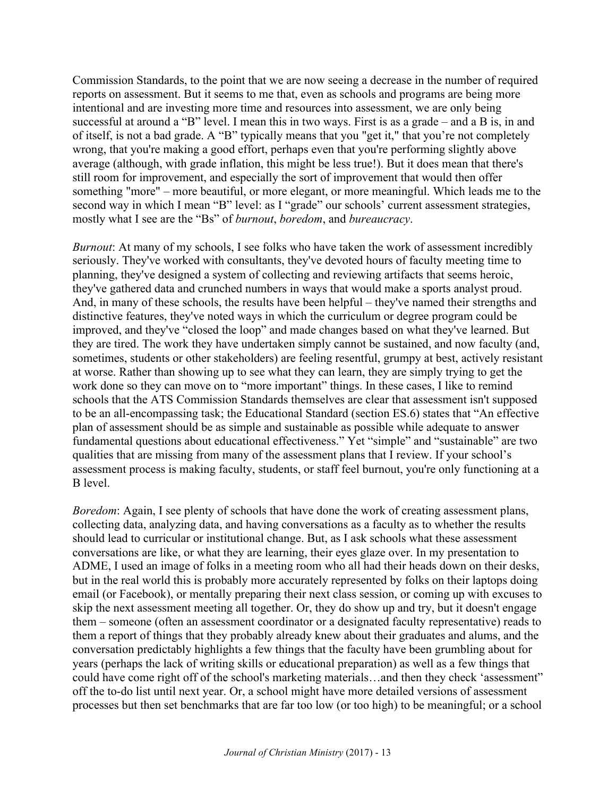Commission Standards, to the point that we are now seeing a decrease in the number of required reports on assessment. But it seems to me that, even as schools and programs are being more intentional and are investing more time and resources into assessment, we are only being successful at around a "B" level. I mean this in two ways. First is as a grade – and a B is, in and of itself, is not a bad grade. A "B" typically means that you "get it," that you're not completely wrong, that you're making a good effort, perhaps even that you're performing slightly above average (although, with grade inflation, this might be less true!). But it does mean that there's still room for improvement, and especially the sort of improvement that would then offer something "more" – more beautiful, or more elegant, or more meaningful. Which leads me to the second way in which I mean "B" level: as I "grade" our schools' current assessment strategies, mostly what I see are the "Bs" of *burnout*, *boredom*, and *bureaucracy*.

*Burnout*: At many of my schools, I see folks who have taken the work of assessment incredibly seriously. They've worked with consultants, they've devoted hours of faculty meeting time to planning, they've designed a system of collecting and reviewing artifacts that seems heroic, they've gathered data and crunched numbers in ways that would make a sports analyst proud. And, in many of these schools, the results have been helpful – they've named their strengths and distinctive features, they've noted ways in which the curriculum or degree program could be improved, and they've "closed the loop" and made changes based on what they've learned. But they are tired. The work they have undertaken simply cannot be sustained, and now faculty (and, sometimes, students or other stakeholders) are feeling resentful, grumpy at best, actively resistant at worse. Rather than showing up to see what they can learn, they are simply trying to get the work done so they can move on to "more important" things. In these cases, I like to remind schools that the ATS Commission Standards themselves are clear that assessment isn't supposed to be an all-encompassing task; the Educational Standard (section ES.6) states that "An effective plan of assessment should be as simple and sustainable as possible while adequate to answer fundamental questions about educational effectiveness." Yet "simple" and "sustainable" are two qualities that are missing from many of the assessment plans that I review. If your school's assessment process is making faculty, students, or staff feel burnout, you're only functioning at a B level.

*Boredom*: Again, I see plenty of schools that have done the work of creating assessment plans, collecting data, analyzing data, and having conversations as a faculty as to whether the results should lead to curricular or institutional change. But, as I ask schools what these assessment conversations are like, or what they are learning, their eyes glaze over. In my presentation to ADME, I used an image of folks in a meeting room who all had their heads down on their desks, but in the real world this is probably more accurately represented by folks on their laptops doing email (or Facebook), or mentally preparing their next class session, or coming up with excuses to skip the next assessment meeting all together. Or, they do show up and try, but it doesn't engage them – someone (often an assessment coordinator or a designated faculty representative) reads to them a report of things that they probably already knew about their graduates and alums, and the conversation predictably highlights a few things that the faculty have been grumbling about for years (perhaps the lack of writing skills or educational preparation) as well as a few things that could have come right off of the school's marketing materials…and then they check 'assessment" off the to-do list until next year. Or, a school might have more detailed versions of assessment processes but then set benchmarks that are far too low (or too high) to be meaningful; or a school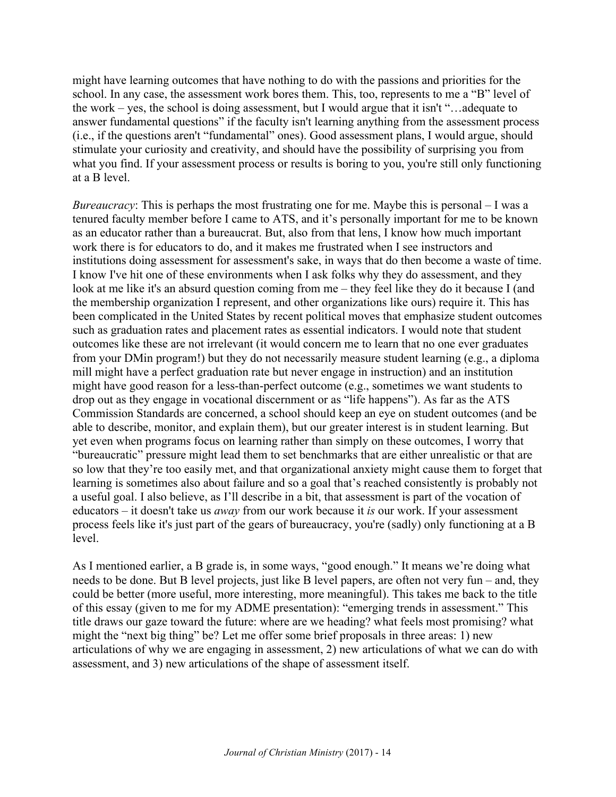might have learning outcomes that have nothing to do with the passions and priorities for the school. In any case, the assessment work bores them. This, too, represents to me a "B" level of the work – yes, the school is doing assessment, but I would argue that it isn't "…adequate to answer fundamental questions" if the faculty isn't learning anything from the assessment process (i.e., if the questions aren't "fundamental" ones). Good assessment plans, I would argue, should stimulate your curiosity and creativity, and should have the possibility of surprising you from what you find. If your assessment process or results is boring to you, you're still only functioning at a B level.

*Bureaucracy*: This is perhaps the most frustrating one for me. Maybe this is personal – I was a tenured faculty member before I came to ATS, and it's personally important for me to be known as an educator rather than a bureaucrat. But, also from that lens, I know how much important work there is for educators to do, and it makes me frustrated when I see instructors and institutions doing assessment for assessment's sake, in ways that do then become a waste of time. I know I've hit one of these environments when I ask folks why they do assessment, and they look at me like it's an absurd question coming from me – they feel like they do it because I (and the membership organization I represent, and other organizations like ours) require it. This has been complicated in the United States by recent political moves that emphasize student outcomes such as graduation rates and placement rates as essential indicators. I would note that student outcomes like these are not irrelevant (it would concern me to learn that no one ever graduates from your DMin program!) but they do not necessarily measure student learning (e.g., a diploma mill might have a perfect graduation rate but never engage in instruction) and an institution might have good reason for a less-than-perfect outcome (e.g., sometimes we want students to drop out as they engage in vocational discernment or as "life happens"). As far as the ATS Commission Standards are concerned, a school should keep an eye on student outcomes (and be able to describe, monitor, and explain them), but our greater interest is in student learning. But yet even when programs focus on learning rather than simply on these outcomes, I worry that "bureaucratic" pressure might lead them to set benchmarks that are either unrealistic or that are so low that they're too easily met, and that organizational anxiety might cause them to forget that learning is sometimes also about failure and so a goal that's reached consistently is probably not a useful goal. I also believe, as I'll describe in a bit, that assessment is part of the vocation of educators – it doesn't take us *away* from our work because it *is* our work. If your assessment process feels like it's just part of the gears of bureaucracy, you're (sadly) only functioning at a B level.

As I mentioned earlier, a B grade is, in some ways, "good enough." It means we're doing what needs to be done. But B level projects, just like B level papers, are often not very fun – and, they could be better (more useful, more interesting, more meaningful). This takes me back to the title of this essay (given to me for my ADME presentation): "emerging trends in assessment." This title draws our gaze toward the future: where are we heading? what feels most promising? what might the "next big thing" be? Let me offer some brief proposals in three areas: 1) new articulations of why we are engaging in assessment, 2) new articulations of what we can do with assessment, and 3) new articulations of the shape of assessment itself.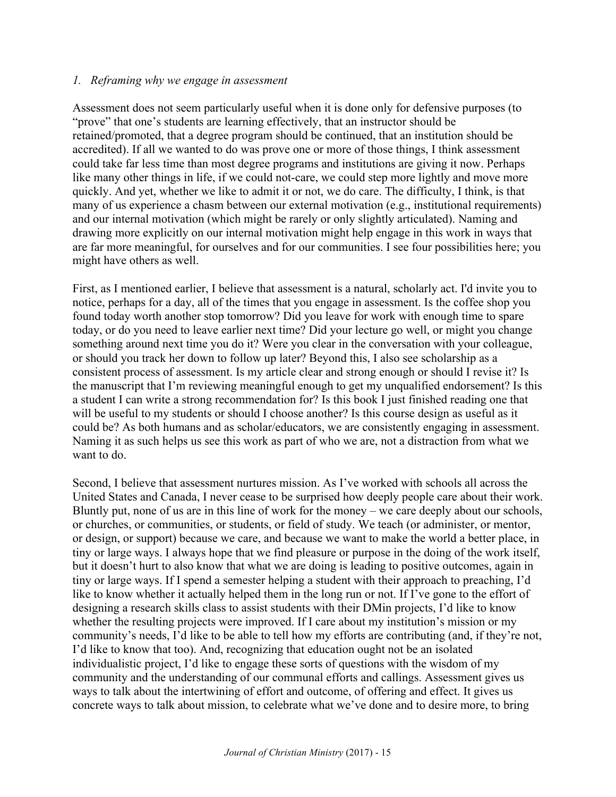#### *1. Reframing why we engage in assessment*

Assessment does not seem particularly useful when it is done only for defensive purposes (to "prove" that one's students are learning effectively, that an instructor should be retained/promoted, that a degree program should be continued, that an institution should be accredited). If all we wanted to do was prove one or more of those things, I think assessment could take far less time than most degree programs and institutions are giving it now. Perhaps like many other things in life, if we could not-care, we could step more lightly and move more quickly. And yet, whether we like to admit it or not, we do care. The difficulty, I think, is that many of us experience a chasm between our external motivation (e.g., institutional requirements) and our internal motivation (which might be rarely or only slightly articulated). Naming and drawing more explicitly on our internal motivation might help engage in this work in ways that are far more meaningful, for ourselves and for our communities. I see four possibilities here; you might have others as well.

First, as I mentioned earlier, I believe that assessment is a natural, scholarly act. I'd invite you to notice, perhaps for a day, all of the times that you engage in assessment. Is the coffee shop you found today worth another stop tomorrow? Did you leave for work with enough time to spare today, or do you need to leave earlier next time? Did your lecture go well, or might you change something around next time you do it? Were you clear in the conversation with your colleague, or should you track her down to follow up later? Beyond this, I also see scholarship as a consistent process of assessment. Is my article clear and strong enough or should I revise it? Is the manuscript that I'm reviewing meaningful enough to get my unqualified endorsement? Is this a student I can write a strong recommendation for? Is this book I just finished reading one that will be useful to my students or should I choose another? Is this course design as useful as it could be? As both humans and as scholar/educators, we are consistently engaging in assessment. Naming it as such helps us see this work as part of who we are, not a distraction from what we want to do.

Second, I believe that assessment nurtures mission. As I've worked with schools all across the United States and Canada, I never cease to be surprised how deeply people care about their work. Bluntly put, none of us are in this line of work for the money – we care deeply about our schools, or churches, or communities, or students, or field of study. We teach (or administer, or mentor, or design, or support) because we care, and because we want to make the world a better place, in tiny or large ways. I always hope that we find pleasure or purpose in the doing of the work itself, but it doesn't hurt to also know that what we are doing is leading to positive outcomes, again in tiny or large ways. If I spend a semester helping a student with their approach to preaching, I'd like to know whether it actually helped them in the long run or not. If I've gone to the effort of designing a research skills class to assist students with their DMin projects, I'd like to know whether the resulting projects were improved. If I care about my institution's mission or my community's needs, I'd like to be able to tell how my efforts are contributing (and, if they're not, I'd like to know that too). And, recognizing that education ought not be an isolated individualistic project, I'd like to engage these sorts of questions with the wisdom of my community and the understanding of our communal efforts and callings. Assessment gives us ways to talk about the intertwining of effort and outcome, of offering and effect. It gives us concrete ways to talk about mission, to celebrate what we've done and to desire more, to bring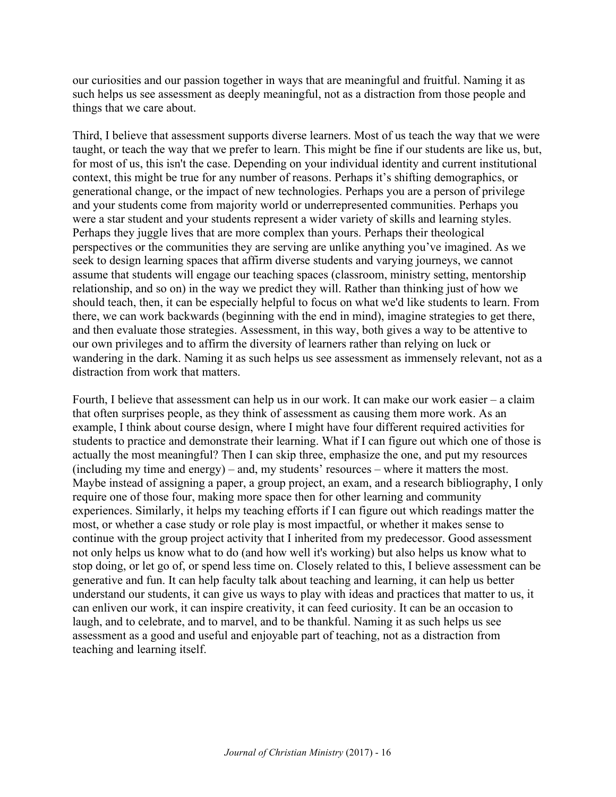our curiosities and our passion together in ways that are meaningful and fruitful. Naming it as such helps us see assessment as deeply meaningful, not as a distraction from those people and things that we care about.

Third, I believe that assessment supports diverse learners. Most of us teach the way that we were taught, or teach the way that we prefer to learn. This might be fine if our students are like us, but, for most of us, this isn't the case. Depending on your individual identity and current institutional context, this might be true for any number of reasons. Perhaps it's shifting demographics, or generational change, or the impact of new technologies. Perhaps you are a person of privilege and your students come from majority world or underrepresented communities. Perhaps you were a star student and your students represent a wider variety of skills and learning styles. Perhaps they juggle lives that are more complex than yours. Perhaps their theological perspectives or the communities they are serving are unlike anything you've imagined. As we seek to design learning spaces that affirm diverse students and varying journeys, we cannot assume that students will engage our teaching spaces (classroom, ministry setting, mentorship relationship, and so on) in the way we predict they will. Rather than thinking just of how we should teach, then, it can be especially helpful to focus on what we'd like students to learn. From there, we can work backwards (beginning with the end in mind), imagine strategies to get there, and then evaluate those strategies. Assessment, in this way, both gives a way to be attentive to our own privileges and to affirm the diversity of learners rather than relying on luck or wandering in the dark. Naming it as such helps us see assessment as immensely relevant, not as a distraction from work that matters.

Fourth, I believe that assessment can help us in our work. It can make our work easier – a claim that often surprises people, as they think of assessment as causing them more work. As an example, I think about course design, where I might have four different required activities for students to practice and demonstrate their learning. What if I can figure out which one of those is actually the most meaningful? Then I can skip three, emphasize the one, and put my resources (including my time and energy) – and, my students' resources – where it matters the most. Maybe instead of assigning a paper, a group project, an exam, and a research bibliography, I only require one of those four, making more space then for other learning and community experiences. Similarly, it helps my teaching efforts if I can figure out which readings matter the most, or whether a case study or role play is most impactful, or whether it makes sense to continue with the group project activity that I inherited from my predecessor. Good assessment not only helps us know what to do (and how well it's working) but also helps us know what to stop doing, or let go of, or spend less time on. Closely related to this, I believe assessment can be generative and fun. It can help faculty talk about teaching and learning, it can help us better understand our students, it can give us ways to play with ideas and practices that matter to us, it can enliven our work, it can inspire creativity, it can feed curiosity. It can be an occasion to laugh, and to celebrate, and to marvel, and to be thankful. Naming it as such helps us see assessment as a good and useful and enjoyable part of teaching, not as a distraction from teaching and learning itself.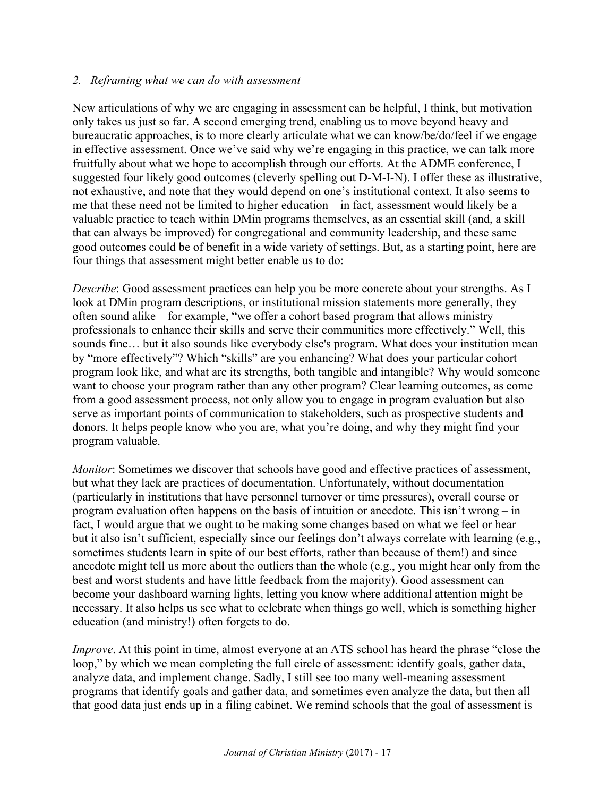### *2. Reframing what we can do with assessment*

New articulations of why we are engaging in assessment can be helpful, I think, but motivation only takes us just so far. A second emerging trend, enabling us to move beyond heavy and bureaucratic approaches, is to more clearly articulate what we can know/be/do/feel if we engage in effective assessment. Once we've said why we're engaging in this practice, we can talk more fruitfully about what we hope to accomplish through our efforts. At the ADME conference, I suggested four likely good outcomes (cleverly spelling out D-M-I-N). I offer these as illustrative, not exhaustive, and note that they would depend on one's institutional context. It also seems to me that these need not be limited to higher education – in fact, assessment would likely be a valuable practice to teach within DMin programs themselves, as an essential skill (and, a skill that can always be improved) for congregational and community leadership, and these same good outcomes could be of benefit in a wide variety of settings. But, as a starting point, here are four things that assessment might better enable us to do:

*Describe*: Good assessment practices can help you be more concrete about your strengths. As I look at DMin program descriptions, or institutional mission statements more generally, they often sound alike – for example, "we offer a cohort based program that allows ministry professionals to enhance their skills and serve their communities more effectively." Well, this sounds fine… but it also sounds like everybody else's program. What does your institution mean by "more effectively"? Which "skills" are you enhancing? What does your particular cohort program look like, and what are its strengths, both tangible and intangible? Why would someone want to choose your program rather than any other program? Clear learning outcomes, as come from a good assessment process, not only allow you to engage in program evaluation but also serve as important points of communication to stakeholders, such as prospective students and donors. It helps people know who you are, what you're doing, and why they might find your program valuable.

*Monitor*: Sometimes we discover that schools have good and effective practices of assessment, but what they lack are practices of documentation. Unfortunately, without documentation (particularly in institutions that have personnel turnover or time pressures), overall course or program evaluation often happens on the basis of intuition or anecdote. This isn't wrong – in fact, I would argue that we ought to be making some changes based on what we feel or hear – but it also isn't sufficient, especially since our feelings don't always correlate with learning (e.g., sometimes students learn in spite of our best efforts, rather than because of them!) and since anecdote might tell us more about the outliers than the whole (e.g., you might hear only from the best and worst students and have little feedback from the majority). Good assessment can become your dashboard warning lights, letting you know where additional attention might be necessary. It also helps us see what to celebrate when things go well, which is something higher education (and ministry!) often forgets to do.

*Improve*. At this point in time, almost everyone at an ATS school has heard the phrase "close the loop," by which we mean completing the full circle of assessment: identify goals, gather data, analyze data, and implement change. Sadly, I still see too many well-meaning assessment programs that identify goals and gather data, and sometimes even analyze the data, but then all that good data just ends up in a filing cabinet. We remind schools that the goal of assessment is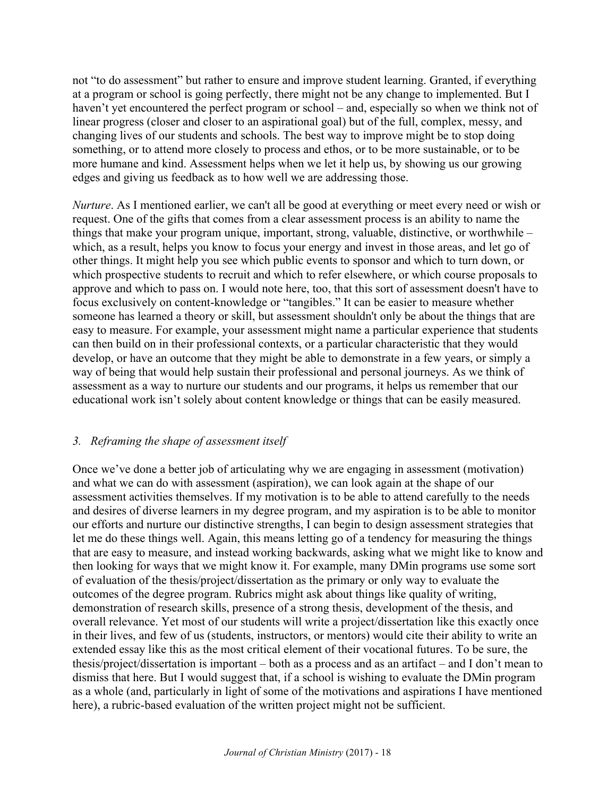not "to do assessment" but rather to ensure and improve student learning. Granted, if everything at a program or school is going perfectly, there might not be any change to implemented. But I haven't yet encountered the perfect program or school – and, especially so when we think not of linear progress (closer and closer to an aspirational goal) but of the full, complex, messy, and changing lives of our students and schools. The best way to improve might be to stop doing something, or to attend more closely to process and ethos, or to be more sustainable, or to be more humane and kind. Assessment helps when we let it help us, by showing us our growing edges and giving us feedback as to how well we are addressing those.

*Nurture*. As I mentioned earlier, we can't all be good at everything or meet every need or wish or request. One of the gifts that comes from a clear assessment process is an ability to name the things that make your program unique, important, strong, valuable, distinctive, or worthwhile – which, as a result, helps you know to focus your energy and invest in those areas, and let go of other things. It might help you see which public events to sponsor and which to turn down, or which prospective students to recruit and which to refer elsewhere, or which course proposals to approve and which to pass on. I would note here, too, that this sort of assessment doesn't have to focus exclusively on content-knowledge or "tangibles." It can be easier to measure whether someone has learned a theory or skill, but assessment shouldn't only be about the things that are easy to measure. For example, your assessment might name a particular experience that students can then build on in their professional contexts, or a particular characteristic that they would develop, or have an outcome that they might be able to demonstrate in a few years, or simply a way of being that would help sustain their professional and personal journeys. As we think of assessment as a way to nurture our students and our programs, it helps us remember that our educational work isn't solely about content knowledge or things that can be easily measured.

## *3. Reframing the shape of assessment itself*

Once we've done a better job of articulating why we are engaging in assessment (motivation) and what we can do with assessment (aspiration), we can look again at the shape of our assessment activities themselves. If my motivation is to be able to attend carefully to the needs and desires of diverse learners in my degree program, and my aspiration is to be able to monitor our efforts and nurture our distinctive strengths, I can begin to design assessment strategies that let me do these things well. Again, this means letting go of a tendency for measuring the things that are easy to measure, and instead working backwards, asking what we might like to know and then looking for ways that we might know it. For example, many DMin programs use some sort of evaluation of the thesis/project/dissertation as the primary or only way to evaluate the outcomes of the degree program. Rubrics might ask about things like quality of writing, demonstration of research skills, presence of a strong thesis, development of the thesis, and overall relevance. Yet most of our students will write a project/dissertation like this exactly once in their lives, and few of us (students, instructors, or mentors) would cite their ability to write an extended essay like this as the most critical element of their vocational futures. To be sure, the thesis/project/dissertation is important – both as a process and as an artifact – and I don't mean to dismiss that here. But I would suggest that, if a school is wishing to evaluate the DMin program as a whole (and, particularly in light of some of the motivations and aspirations I have mentioned here), a rubric-based evaluation of the written project might not be sufficient.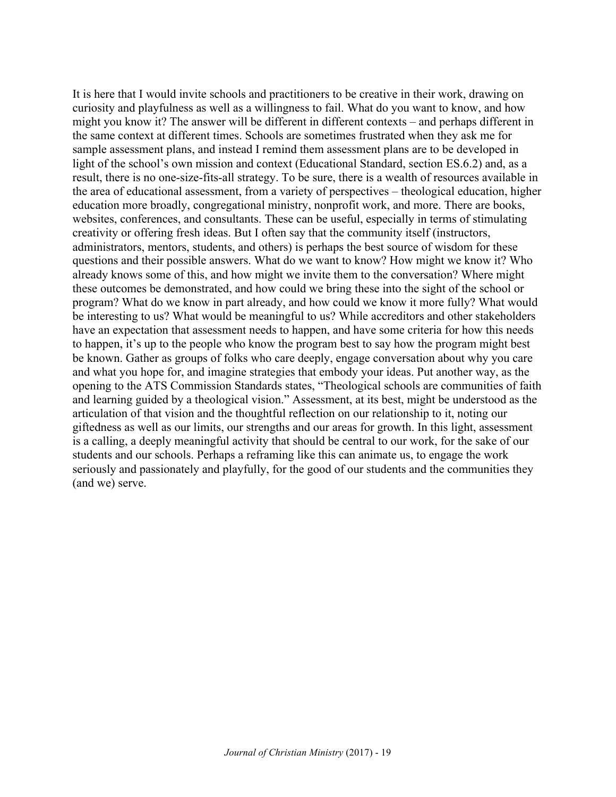It is here that I would invite schools and practitioners to be creative in their work, drawing on curiosity and playfulness as well as a willingness to fail. What do you want to know, and how might you know it? The answer will be different in different contexts – and perhaps different in the same context at different times. Schools are sometimes frustrated when they ask me for sample assessment plans, and instead I remind them assessment plans are to be developed in light of the school's own mission and context (Educational Standard, section ES.6.2) and, as a result, there is no one-size-fits-all strategy. To be sure, there is a wealth of resources available in the area of educational assessment, from a variety of perspectives – theological education, higher education more broadly, congregational ministry, nonprofit work, and more. There are books, websites, conferences, and consultants. These can be useful, especially in terms of stimulating creativity or offering fresh ideas. But I often say that the community itself (instructors, administrators, mentors, students, and others) is perhaps the best source of wisdom for these questions and their possible answers. What do we want to know? How might we know it? Who already knows some of this, and how might we invite them to the conversation? Where might these outcomes be demonstrated, and how could we bring these into the sight of the school or program? What do we know in part already, and how could we know it more fully? What would be interesting to us? What would be meaningful to us? While accreditors and other stakeholders have an expectation that assessment needs to happen, and have some criteria for how this needs to happen, it's up to the people who know the program best to say how the program might best be known. Gather as groups of folks who care deeply, engage conversation about why you care and what you hope for, and imagine strategies that embody your ideas. Put another way, as the opening to the ATS Commission Standards states, "Theological schools are communities of faith and learning guided by a theological vision." Assessment, at its best, might be understood as the articulation of that vision and the thoughtful reflection on our relationship to it, noting our giftedness as well as our limits, our strengths and our areas for growth. In this light, assessment is a calling, a deeply meaningful activity that should be central to our work, for the sake of our students and our schools. Perhaps a reframing like this can animate us, to engage the work seriously and passionately and playfully, for the good of our students and the communities they (and we) serve.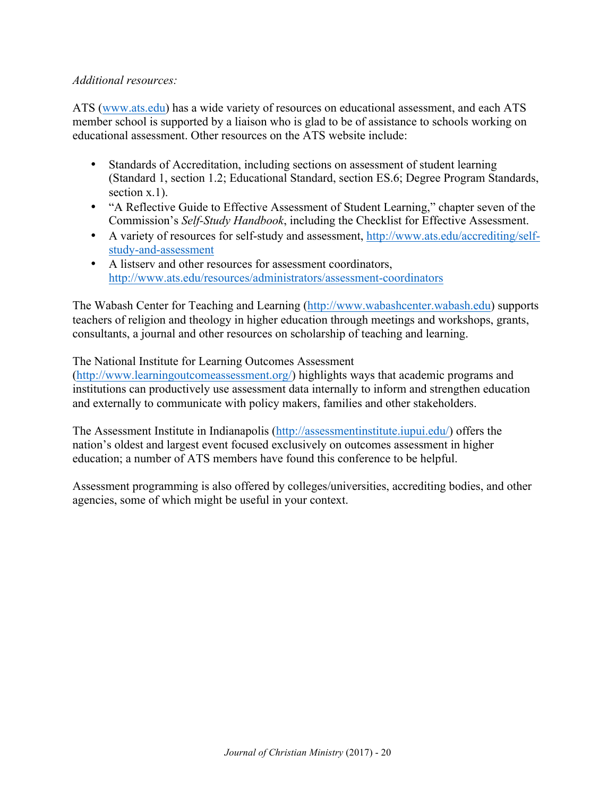### *Additional resources:*

ATS (www.ats.edu) has a wide variety of resources on educational assessment, and each ATS member school is supported by a liaison who is glad to be of assistance to schools working on educational assessment. Other resources on the ATS website include:

- Standards of Accreditation, including sections on assessment of student learning (Standard 1, section 1.2; Educational Standard, section ES.6; Degree Program Standards, section x.1).
- "A Reflective Guide to Effective Assessment of Student Learning," chapter seven of the Commission's *Self-Study Handbook*, including the Checklist for Effective Assessment.
- A variety of resources for self-study and assessment, http://www.ats.edu/accrediting/selfstudy-and-assessment
- A listserv and other resources for assessment coordinators, http://www.ats.edu/resources/administrators/assessment-coordinators

The Wabash Center for Teaching and Learning (http://www.wabashcenter.wabash.edu) supports teachers of religion and theology in higher education through meetings and workshops, grants, consultants, a journal and other resources on scholarship of teaching and learning.

The National Institute for Learning Outcomes Assessment

(http://www.learningoutcomeassessment.org/) highlights ways that academic programs and institutions can productively use assessment data internally to inform and strengthen education and externally to communicate with policy makers, families and other stakeholders.

The Assessment Institute in Indianapolis (http://assessmentinstitute.iupui.edu/) offers the nation's oldest and largest event focused exclusively on outcomes assessment in higher education; a number of ATS members have found this conference to be helpful.

Assessment programming is also offered by colleges/universities, accrediting bodies, and other agencies, some of which might be useful in your context.